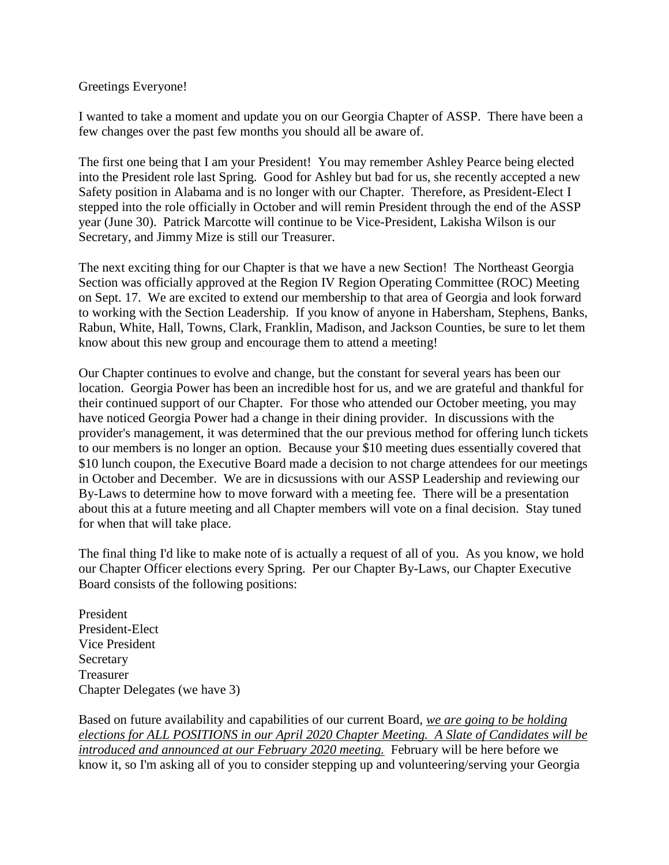## Greetings Everyone!

I wanted to take a moment and update you on our Georgia Chapter of ASSP. There have been a few changes over the past few months you should all be aware of.

The first one being that I am your President! You may remember Ashley Pearce being elected into the President role last Spring. Good for Ashley but bad for us, she recently accepted a new Safety position in Alabama and is no longer with our Chapter. Therefore, as President-Elect I stepped into the role officially in October and will remin President through the end of the ASSP year (June 30). Patrick Marcotte will continue to be Vice-President, Lakisha Wilson is our Secretary, and Jimmy Mize is still our Treasurer.

The next exciting thing for our Chapter is that we have a new Section! The Northeast Georgia Section was officially approved at the Region IV Region Operating Committee (ROC) Meeting on Sept. 17. We are excited to extend our membership to that area of Georgia and look forward to working with the Section Leadership. If you know of anyone in Habersham, Stephens, Banks, Rabun, White, Hall, Towns, Clark, Franklin, Madison, and Jackson Counties, be sure to let them know about this new group and encourage them to attend a meeting!

Our Chapter continues to evolve and change, but the constant for several years has been our location. Georgia Power has been an incredible host for us, and we are grateful and thankful for their continued support of our Chapter. For those who attended our October meeting, you may have noticed Georgia Power had a change in their dining provider. In discussions with the provider's management, it was determined that the our previous method for offering lunch tickets to our members is no longer an option. Because your \$10 meeting dues essentially covered that \$10 lunch coupon, the Executive Board made a decision to not charge attendees for our meetings in October and December. We are in dicsussions with our ASSP Leadership and reviewing our By-Laws to determine how to move forward with a meeting fee. There will be a presentation about this at a future meeting and all Chapter members will vote on a final decision. Stay tuned for when that will take place.

The final thing I'd like to make note of is actually a request of all of you. As you know, we hold our Chapter Officer elections every Spring. Per our Chapter By-Laws, our Chapter Executive Board consists of the following positions:

President President-Elect Vice President Secretary Treasurer Chapter Delegates (we have 3)

Based on future availability and capabilities of our current Board, *we are going to be holding elections for ALL POSITIONS in our April 2020 Chapter Meeting. A Slate of Candidates will be introduced and announced at our February 2020 meeting.* February will be here before we know it, so I'm asking all of you to consider stepping up and volunteering/serving your Georgia